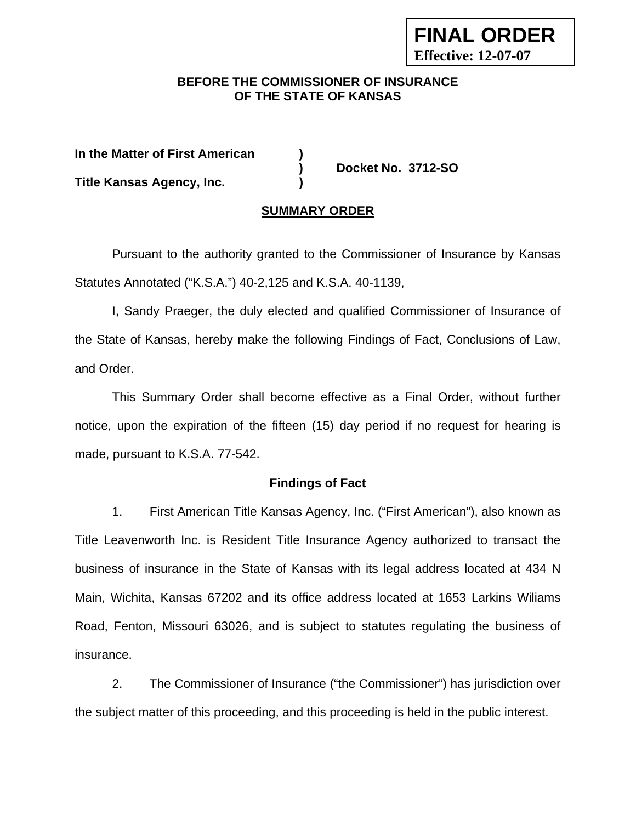## **BEFORE THE COMMISSIONER OF INSURANCE OF THE STATE OF KANSAS**

**FINAL ORDER** 

**Effective: 12-07-07**

| In the Matter of First American  |                    |
|----------------------------------|--------------------|
|                                  | Docket No. 3712-SO |
| <b>Title Kansas Agency, Inc.</b> |                    |

### **SUMMARY ORDER**

 Pursuant to the authority granted to the Commissioner of Insurance by Kansas Statutes Annotated ("K.S.A.") 40-2,125 and K.S.A. 40-1139,

I, Sandy Praeger, the duly elected and qualified Commissioner of Insurance of the State of Kansas, hereby make the following Findings of Fact, Conclusions of Law, and Order.

This Summary Order shall become effective as a Final Order, without further notice, upon the expiration of the fifteen (15) day period if no request for hearing is made, pursuant to K.S.A. 77-542.

#### **Findings of Fact**

1. First American Title Kansas Agency, Inc. ("First American"), also known as Title Leavenworth Inc. is Resident Title Insurance Agency authorized to transact the business of insurance in the State of Kansas with its legal address located at 434 N Main, Wichita, Kansas 67202 and its office address located at 1653 Larkins Wiliams Road, Fenton, Missouri 63026, and is subject to statutes regulating the business of insurance.

2. The Commissioner of Insurance ("the Commissioner") has jurisdiction over the subject matter of this proceeding, and this proceeding is held in the public interest.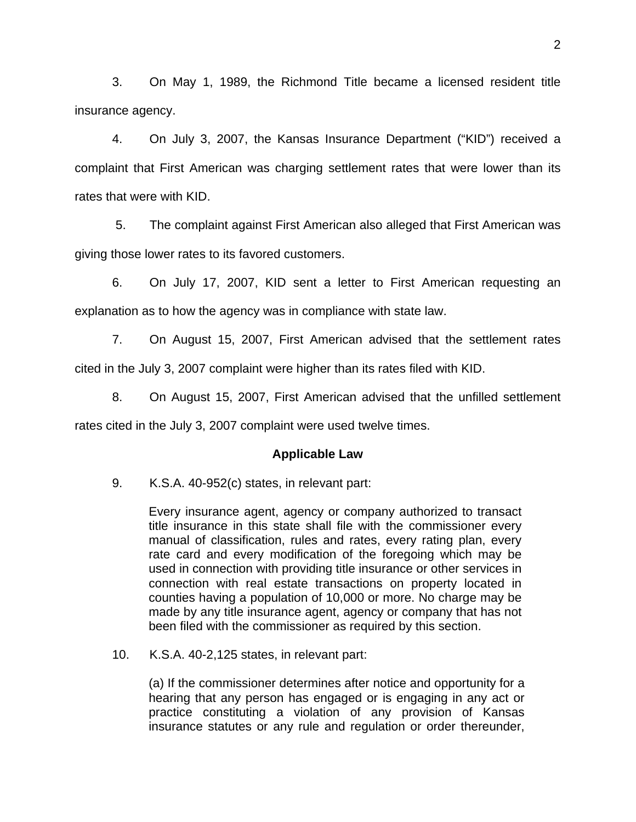3. On May 1, 1989, the Richmond Title became a licensed resident title insurance agency.

4. On July 3, 2007, the Kansas Insurance Department ("KID") received a complaint that First American was charging settlement rates that were lower than its rates that were with KID.

 5. The complaint against First American also alleged that First American was giving those lower rates to its favored customers.

6. On July 17, 2007, KID sent a letter to First American requesting an explanation as to how the agency was in compliance with state law.

7. On August 15, 2007, First American advised that the settlement rates cited in the July 3, 2007 complaint were higher than its rates filed with KID.

8. On August 15, 2007, First American advised that the unfilled settlement rates cited in the July 3, 2007 complaint were used twelve times.

## **Applicable Law**

9. K.S.A. 40-952(c) states, in relevant part:

Every insurance agent, agency or company authorized to transact title insurance in this state shall file with the commissioner every manual of classification, rules and rates, every rating plan, every rate card and every modification of the foregoing which may be used in connection with providing title insurance or other services in connection with real estate transactions on property located in counties having a population of 10,000 or more. No charge may be made by any title insurance agent, agency or company that has not been filed with the commissioner as required by this section.

10. K.S.A. 40-2,125 states, in relevant part:

(a) If the commissioner determines after notice and opportunity for a hearing that any person has engaged or is engaging in any act or practice constituting a violation of any provision of Kansas insurance statutes or any rule and regulation or order thereunder,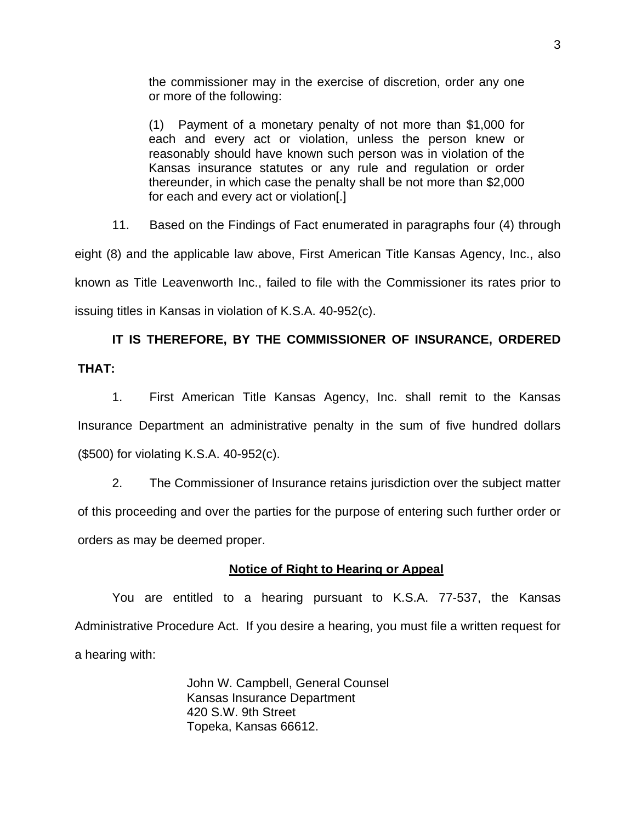the commissioner may in the exercise of discretion, order any one or more of the following:

(1) Payment of a monetary penalty of not more than \$1,000 for each and every act or violation, unless the person knew or reasonably should have known such person was in violation of the Kansas insurance statutes or any rule and regulation or order thereunder, in which case the penalty shall be not more than \$2,000 for each and every act or violation[.]

11. Based on the Findings of Fact enumerated in paragraphs four (4) through eight (8) and the applicable law above, First American Title Kansas Agency, Inc., also known as Title Leavenworth Inc., failed to file with the Commissioner its rates prior to issuing titles in Kansas in violation of K.S.A. 40-952(c).

# **IT IS THEREFORE, BY THE COMMISSIONER OF INSURANCE, ORDERED THAT:**

1. First American Title Kansas Agency, Inc. shall remit to the Kansas Insurance Department an administrative penalty in the sum of five hundred dollars (\$500) for violating K.S.A. 40-952(c).

 2. The Commissioner of Insurance retains jurisdiction over the subject matter of this proceeding and over the parties for the purpose of entering such further order or orders as may be deemed proper.

# **Notice of Right to Hearing or Appeal**

You are entitled to a hearing pursuant to K.S.A. 77-537, the Kansas Administrative Procedure Act. If you desire a hearing, you must file a written request for a hearing with:

> John W. Campbell, General Counsel Kansas Insurance Department 420 S.W. 9th Street Topeka, Kansas 66612.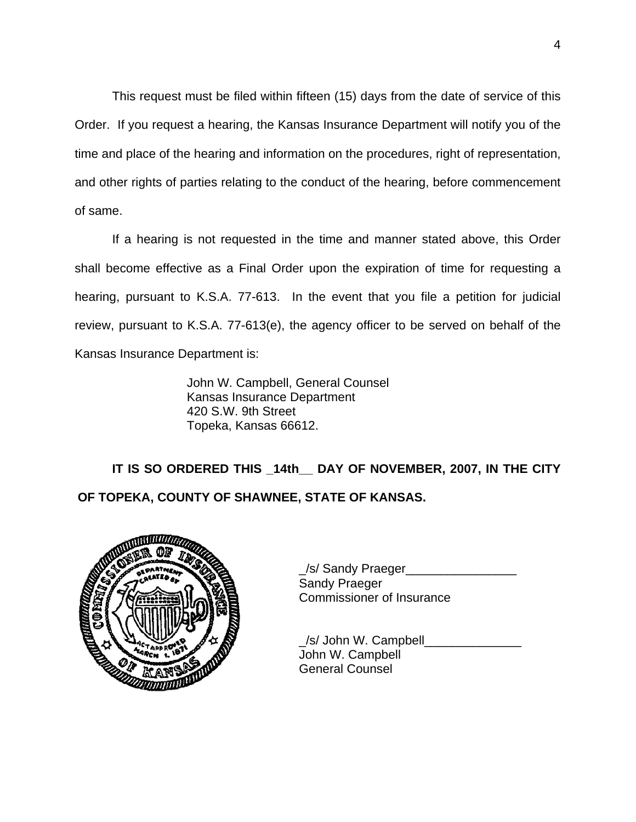This request must be filed within fifteen (15) days from the date of service of this Order. If you request a hearing, the Kansas Insurance Department will notify you of the time and place of the hearing and information on the procedures, right of representation, and other rights of parties relating to the conduct of the hearing, before commencement of same.

If a hearing is not requested in the time and manner stated above, this Order shall become effective as a Final Order upon the expiration of time for requesting a hearing, pursuant to K.S.A. 77-613. In the event that you file a petition for judicial review, pursuant to K.S.A. 77-613(e), the agency officer to be served on behalf of the Kansas Insurance Department is:

> John W. Campbell, General Counsel Kansas Insurance Department 420 S.W. 9th Street Topeka, Kansas 66612.

 **IT IS SO ORDERED THIS \_14th\_\_ DAY OF NOVEMBER, 2007, IN THE CITY OF TOPEKA, COUNTY OF SHAWNEE, STATE OF KANSAS.** 



|                      | /s/ Sandy Praeger         |
|----------------------|---------------------------|
|                      | <b>Sandy Praeger</b>      |
| <b>REAL PROPERTY</b> | Commissioner of Insurance |

 \_/s/ John W. Campbell\_\_\_\_\_\_\_\_\_\_\_\_\_\_ John W. Campbell General Counsel